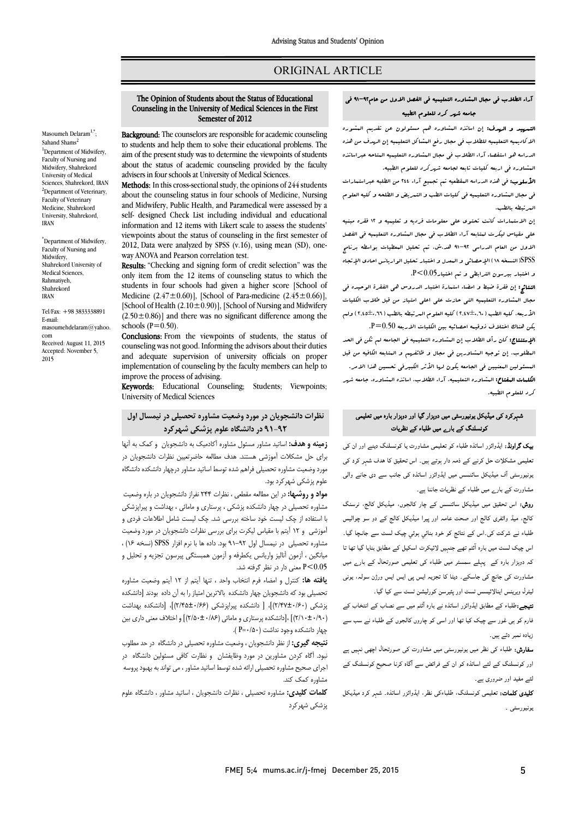# ORIGINAL ARTICLE

# The Opinion of Students about the Status of Educational Counseling in the University of Medical Sciences in the First Semester of 2012

Ī 

Masoumeh Delaram<sup>1,\*</sup>; Sahand Shams <sup>1</sup>Department of Midwifery, Faculty of Nursing and Midwifery, Shahrekord University of Medical Sciences, Shahrekord, IRAN <sup>2</sup>Department of Veterinary, Faculty of Veterinary Medicine, Shahrekord University, Shahrekord, IRAN

\* Department of Midwifery, Faculty of Nursing and Midwifery, Shahrekord University of Medical Sciences, Rahmatiyeh, Shahrekord IRAN

Tel/Fax: +98 3833338891 E-mail: masoumehdelaram@yahoo. com Received: August 11, 2015 Accepted: November 5, 2015

 Background: The counselors are responsible for academic counseling  to students and help them to solve their educational problems. The about the status of academic counseling provided by the faculty advisers in four schools at University of Medical Sciences. aim of the present study was to determine the viewpoints of students

**Methods:** In this cross-sectional study, the opinions of 244 students<br>about the courseling status in four schools of Medicine, Numing and Midwifery, Public Health, and Paramedical were assessed by a self- designed Check List including individual and educational viewpoints about the status of counseling in the first semester of 2012. Data were analyzed by SPSS (v.16), using mean (SD), oneabout the counseling status in four schools of Medicine, Nursing information and 12 items with Likert scale to assess the students' way ANOVA and Pearson correlation test.

way ANOVA and rearson correlation test.<br>**Results:** "Checking and signing form of credit selection" was the only item from the 12 items of counseling status to which the students in four schools had given a higher score [School of  $[School of Health (2.10±0.90)]$ , [School of Nursing and Midwifery]  $(2.50\pm0.86)$ ] and there was no significant difference among the Medicine  $(2.47 \pm 0.60)$ ], [School of Para-medicine  $(2.45 \pm 0.66)$ ], schools  $(P=0.50)$ .

schools  $(P=0.50)$ .<br>**Conclusions:** From the viewpoints of students, the status of counseling was not good. Informing the advisors about their duties and adequate supervision of university officials on proper implementation of counseling by the faculty members can help to<br>improve the process of advising improve the process of advising.

Keywords: Educational Counseling; Students; Viewpoints; University of Medical Sciences

# **نظرات دانشجویان در مورد وضعیت مشاوره تحصیلی در نیمسال اول 91-92 در دانشگاه علوم پزشکی شهرکرد**

 **زمینه و هدف:** اساتید مشاور مسئول مشاوره آکادمیک به دانشجویان و کمک به آنها براي حل مشکلات آموزشی هستند. هدف مطالعه حاضرتعیین نظرات دانشجویان در مورد وضعیت مشاوره تحصیلی فراهم شده توسط اساتید مشاور درچهار دانشکده دانشگاه i. علوم پزشکی شهرکرد بود.

م**ورد و روسته**. در این مصامه منطقی ، نظرات ۱۰۱ نفرار دانشجویان در باره وضعیت<br>مشاوره تحصیلی در چهار دانشکده پزشکی ، پرستاری و مامائی ، بهداشت و پیراپزشکی بررسی سی از چهار استاد که استاد که استاد که استاد به دستر و در سی به استفاده از چک لیست خود ساخته بررسی<br>با استفاده از چک لیست خود ساخته بررسی شد. چک لیست شامل اطلاعات فردی و آموزشی و 12 آیتم با مقیاس لیکرت براي بررسی نظرات دانشجویان در مورد وضعیت مشاوره تحصیلی در نیمسال اول 91-92 بود. داده ها با نرم افزار SPSS) نسخه 16) ، میانگین ، آزمون آنالیز واریانس یکطرفه و آزمون همبستگی پیرسون تجزیه و تحلیل و 0.05>P معنی دار در نظر گرفته شد. **مواد و روشها:** در این مطالعه مقطعی ، نظرات 244 نفراز دانشجویان در باره وضعیت

 **یافته ها:** کنترل و امضاء فرم انتخاب واحد ، تنها آیتم از 12 آیتم وضعیت مشاوره نخصیتی بود به دانشجویان چهار دانشخده با د برین امیار را به ان داده بودند ارانشخده<br>پزشکی (۲/۴۷±۰/۶۰)]، [ دانشکده پیراپزشکی (۲/۶۶±۲/۴۵)]، [دانشکده بهداشت (2/10±0/90)] ،[دانشکده پرستاري و مامائی (2/50±0/86)] و اختلاف معنی داري بین .<br>چهار دانشکده وجود نداشت (P=۰/۵۰). تحصیلی بود که دانشجویان چهار دانشکده بالاترین امتیاز را به آن داده بودند [دانشکده

 **نتیجه گیري:** از نظر دانشجویان ، وضعیت مشاوره تحصیلی در دانشگاه در حد مطلوب نبود. آگاه کردن مشاورین در مورد وظایفشان و نظارت کافی مسئولین دانشگاه در اجراي صحیح مشاوره تحصیلی ارائه شده توسط اساتید مشاور ، می تواند به بهبود پروسه مشاوره کمک کند.

 **کلمات کلیدي:** مشاوره تحصیلی ، نظرات دانشجویان ، اساتید مشاور ، دانشگاه علوم پزشکی شهرکرد

## آراء الطلاب فی مجال المشاوره التعلیمیه فی الفصل الاول من عام91-92 فی جامعه شهر کرد للعلوم الطبیه

Ī 

ا**لتدیید و الردف:** إن اساتذه البشاوره هم مسئولون عن تقدیم البشوره<br>. الاکادیمیه التعلیمیه للطلاب فی مجال رفع المشاکل التعلیمیه إن الهدف من هذه الدراها هو استعفاء اراء العالزي في طيان المشاوره المليكية الله<br>المشاوره في اربعه كليات تابعه لجامعه شهركرد للعلوم الطبيه. الدراسه هو استقصاء آراء الطلاب فی مجال المشاوره التعلیمیه المتاحه عبراساتذه

المسلوب: فی هذه الدراسه البقطعیه تم تجمیع آراء 24 من الطلبه عبراستمارات<br>**الأسلوب:** فی هذه الدراسه البقطعیه تم تجمیع آراء 244 من الطلبه عبراستمارات فی مجال البشاوره التعليميه فی کلیات الطب و التعریض و الطلحه و کلیه العلوم<br>لد تبطه بالطب المرتبطه بالطب.

 إن الاستمارات کانت تحتوي علی معلومات فردیه و تعلیمیه و 12 فقره مبنیه علی مقیاس لیکرت لمتابعه آراء الطلاب فی مجال المشاوره التعلیمیه فی الفصل الاول من العام الدراسی 91-92 هد.ش. تم تحلیل المعطیات بواسطه برنامج SPSS)النسخه 18) الإحصائی و المعدل و اختبار تحلیل الواریانس احادي الإتجاه و اختبار بیرسون الترابطی و تم اختیار0.05>P.

 النتائج: إن فقرة ضبط و امضاء استمارة اختبار الدروس هی الفقرة الوحیده فی مجال المشاوره التعلیمیه التی حازت علی اعلی امتیاز من قبل طلاب الکلیات الأربعه، کلیه الطب (2,47±0,60) کلیه العلوم المرتبطه بالطب (2,45±0,66) ولم یکن هناك اختلاف ذوقیمه احصائیه بین الکلیات الاربعه 0.50=P.

ا**لإستنتاج:** کان رأى الطلاب إن المشاوره التعلیمیه فی الجامعه لم تکن فی الحد<br>- المطلوب. إن توجیه المشاورین فی مجال و ظائفهم و المتابعه الکافیه من قبل ۶<br>. ا**لکلهات البفتاح:** البشاوره التعلیمیه، آراء الطلاب، اساتذه البشاوره، جامعه ش*هر*<br>محمد الملاور المساور المسئولین المعنیین فی الجامعه یکون لها الأثر الکبیرفی تحسین هذا الامر. کرد للعلوم الطبیه.

# شہرکرد کی میڈیکل یونیورسٹی میں دوہزار گیا اور دوہزار بارہ میں تعلیمی کونسلنگ کے بارے میں طلباء کے نظریات

**یک گراونڈ:** ایڈوائزر اساتذہ طلباء کو تعلیمی مشاورت یا کونسلنگ دینے اور ان کی .<br>نعلیمی مشکلات حل کرنے کے ذمہ دار ہوتے ہیں۔ اس تحقیق کا هدف شہر کرد کی برنیورسٹی آف میڈیکل سائنسس میں ایڈوائزر اساتذہ کی جانب سے دی جانے وال<sub>ی</sub> مشاورت کے بار<sub>ے</sub> میں طلباء کے نظریات جاننا ہے۔

ر**وش:** اس تحقیق میں میڈیکل سائنسس کے چار کالجوں، میڈیکل کالج، نرسنگ ۔<br>کالج، میڈ وائفری کالج اور صحت عامہ اور پیرا میڈیکل کالج کے دو سو چوالیس ۔<br>طلباء نے شرکت کی۔اس کے نتائج کو خود بنائي ٻوئي چيک لسٹ سے جانچا گيا۔ ۔<br>اس چیک لسٹ میں بارہ آئٹم تھے جنہیں لائیکرٹ اسکیل کے مطابق بنایا گیا تھا تا دوار رہ ء رل رے ے میں کہ کوری کے لیے میں اس کے دوران کے دوران کے دوران کے دوران کے دوران کے دوران کے دوران کے دوران کے دوران ک<br>مشاورت کی جانچ کی جاسکے۔ دیٹا کا تجزیہ ایس پی ایس ایس ورژن سولہ، یونی یر مستقبل کی دی ہے۔<br>لیٹرل ویرینس اینالائیسس ٹسٹ اور پئیرسن کورلیشن ٹسٹ سے کیا گیا۔

 :ء اوار اہ رہ آ ب اب  $\overline{\phantom{a}}$ فارم کو ہی غور سے چیک کیا تھا اور اسی کو چاروں کالجوں کے طلباء نے سب سے<br>۔  $\overline{a}$ زیادہ نمبر دئے ہیں۔

**سفارش:** طلباء کی نظر میں یونیورسٹی میں مشاورت کی صورتحال اچھی نہیں ہے<br>۔ اور کونسلنگ کے لئے اساتذہ کو ان کے فرائض سے آگاہ کرنا صحیح کونسلنگ کے<br>۔ لئے مفید اور ضروری ہے۔<br>۔

**کلیدی کلمات:** تعلیمی کونسلنگ، طلباءکی نظر، ایڈوائزر اساتذہ۔ شہر کرد میڈیکل<br>۔ بونيورسٹمی ۔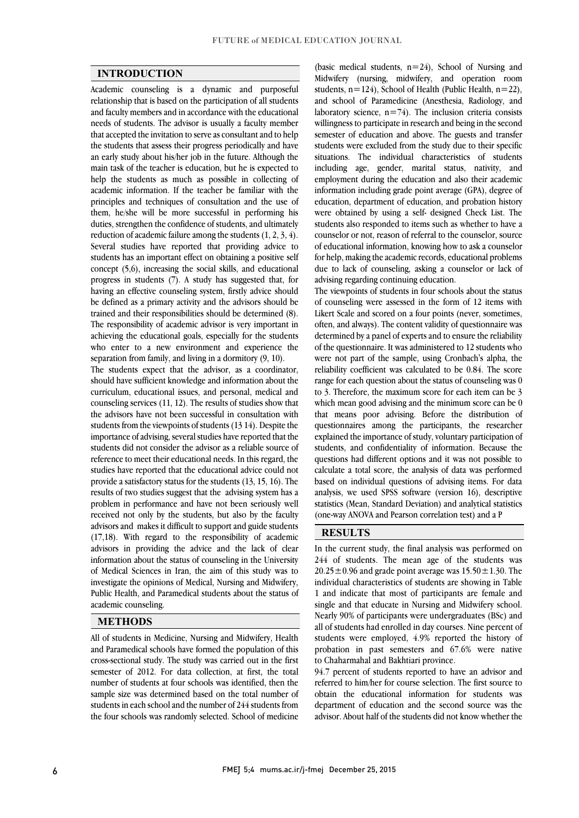$\overline{a}$  $\overline{a}$ 

### **INTRODUCTION**

 Academic counseling is a dynamic and purposeful relationship that is based on the participation of all students and faculty includers and in accordance with the cute attornational needs of students. The advisor is usually a faculty member that accepted the invitation to serve as consultant and to help the students that assess their progress periodically and have an early study about his/her job in the future. Although the help the students as much as possible in collecting of academic information. If the teacher be familiar with the principles and techniques of consultation and the use of them, he/she will be more successful in performing his reduction of academic failure among the students  $(1, 2, 3, 4)$ . Several studies have reported that providing advice to students has an important effect on obtaining a positive self concept  $(5,6)$ , increasing the social skills, and educational<br>generated that for having an effective counseling system, firstly advice should be defined as a primary activity and the advisors should be trained and their responsibilities should be determined (8). achieving the educational goals, especially for the students who enter to a new environment and experience the and faculty members and in accordance with the educational main task of the teacher is education, but he is expected to duties, strengthen the confidence of students, and ultimately progress in students (7). A study has suggested that, for The responsibility of academic advisor is very important in separation from family, and living in a dormitory (9, 10).

 The students expect that the advisor, as a coordinator, curriculum, educational issues, and personal, medical and counseling services (11, 12). The results of studies show that the advisors have not been successful in consultation with students from the viewpoints of students (13 14). Despite the students did not consider the advisor as a reliable source of reference to meet their educational needs. In this regard, the studies have reported that the educational advice could not provide a satisfactory status for the students (13, 15, 16). The problem in performance and have not been seriously well received not only by the students, but also by the faculty advisors and makes it difficult to support and guide students  $(17, 10)$ . With regard to the responsibility of academic advisors in providing the advice and the lack of clear information about the status of counseling in the University of Medical Sciences in Iran, the aim of this study was to investigate the opinions of Medical, Nursing and Midwifery, Public Health, and Paramedical students about the status of associations.  $\overline{a}$ should have sufficient knowledge and information about the importance of advising, several studies have reported that the results of two studies suggest that the advising system has a (17,18). With regard to the responsibility of academic academic counseling.

#### **METHODS**

 All of students in Medicine, Nursing and Midwifery, Health cross-sectional study. The study was carried out in the first semester of 2012. For data collection, at first, the total number of students at four schools was identified, then the sample size was determined based on the total number of the four schools was randomly selected. School of medicine and Paramedical schools have formed the population of this students in each school and the number of 244 students from

 Midwifery (nursing, midwifery, and operation room students, n=124), School of Health (Public Health, n=22), and scnool of paramedicine (Anestnesia, Kadiology, and<br>laboratory science, n=74). The inclusion criteria consists willingness to participate in research and being in the second semester of education and above. The guests and transfer students were excluded from the study due to their specific including age, gender, marital status, nativity, and employment during the education and also their academic information including grade point average (GPA), degree of education, department of education, and probation history were obtained by using a sen-designed check List. The<br>students also responded to items such as whether to have a counselor or not, reason of referral to the counselor, source of educational information, knowing how to ask a counselor for help, making the academic records, educational problems due to lack of counseling, asking a counselor or lack of advising regarding continuing education (basic medical students,  $n=24$ ), School of Nursing and and school of Paramedicine (Anesthesia, Radiology, and situations. The individual characteristics of students were obtained by using a self- designed Check List. The advising regarding continuing education.

 The viewpoints of students in four schools about the status of counseling were assessed in the form of 12 items with Likert Scale and scored on a four points (never, sometimes, determined by a panel of experts and to ensure the reliability of the questionnaire. It was administered to 12 students who were not part of the sample, using Cronbach's alpha, the reliability coefficient was calculated to be 0.84. The score to 3. Therefore, the maximum score for each item can be 3 which mean good advising and the minimum score can be 0 that means poor advising. Before the distribution of questionnaires among the participants, the researcher students, and confidentiality of information. Because the questions had different options and it was not possible to calculate a total score, the analysis of data was performed analysis, we used SPSS software (version 16), descriptive statistics (Mean, Standard Deviation) and analytical statistics often, and always). The content validity of questionnaire was range for each question about the status of counseling was 0 explained the importance of study, voluntary participation of based on individual questions of advising items. For data (one-way ANOVA and Pearson correlation test) and a P

### **RESULTS**

 In the current study, the final analysis was performed on 244 of students. The mean age of the students was  $20.25 \pm 0.96$  and grade point average was  $15.50 \pm 1.30$ . The individual characteristics of students are showing in Table single and that educate in Nursing and Midwifery school. Nearly 90% of participants were undergraduates (BSc) and all of students had enrolled in day courses. Nine percent of students were employed,  $4.9\%$  reported the history of probation in past semesters and 67.6% were native<br>to Chabarmabal and Bakhtiari province 1 and indicate that most of participants are female and to Chaharmahal and Bakhtiari province.

٦

 94.7 percent of students reported to have an advisor and referred to him/her for course selection. The first source to obtain the educational information for students was advisor. About half of the students did not know whether the department of education and the second source was the

 $\overline{a}$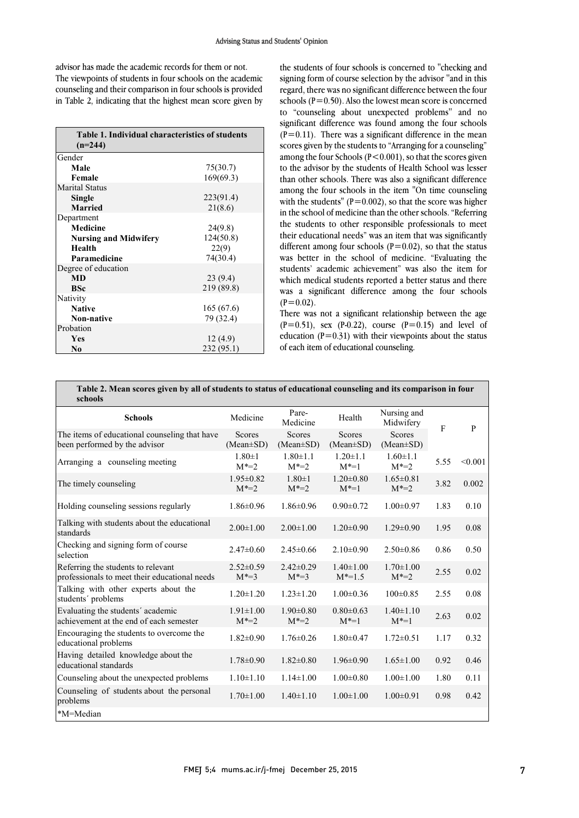#### Advising Status and Students' Opinion

 The viewpoints of students in four schools on the academic counseling and their comparison in four schools is provided in Table 2, indicating that the highest mean score given by advisor has made the academic records for them or not.

| Table 1. Individual characteristics of students<br>$(n=244)$ |            |  |  |  |  |  |  |
|--------------------------------------------------------------|------------|--|--|--|--|--|--|
| Gender                                                       |            |  |  |  |  |  |  |
| Male                                                         | 75(30.7)   |  |  |  |  |  |  |
| Female                                                       | 169(69.3)  |  |  |  |  |  |  |
| <b>Marital Status</b>                                        |            |  |  |  |  |  |  |
| Single                                                       | 223(91.4)  |  |  |  |  |  |  |
| <b>Married</b>                                               | 21(8.6)    |  |  |  |  |  |  |
| Department                                                   |            |  |  |  |  |  |  |
| <b>Medicine</b>                                              | 24(9.8)    |  |  |  |  |  |  |
| <b>Nursing and Midwifery</b>                                 | 124(50.8)  |  |  |  |  |  |  |
| Health                                                       | 22(9)      |  |  |  |  |  |  |
| Paramedicine                                                 | 74(30.4)   |  |  |  |  |  |  |
| Degree of education                                          |            |  |  |  |  |  |  |
| <b>MD</b>                                                    | 23(9.4)    |  |  |  |  |  |  |
| <b>BSc</b>                                                   | 219 (89.8) |  |  |  |  |  |  |
| Nativity                                                     |            |  |  |  |  |  |  |
| <b>Native</b>                                                | 165 (67.6) |  |  |  |  |  |  |
| <b>Non-native</b>                                            | 79 (32.4)  |  |  |  |  |  |  |
| Probation                                                    |            |  |  |  |  |  |  |
| <b>Yes</b>                                                   | 12 (4.9)   |  |  |  |  |  |  |
| N <sub>0</sub>                                               | 232 (95.1) |  |  |  |  |  |  |

 the students of four schools is concerned to ''checking and signing form of course selection by the advisor ''and in this regard, there was no significant difference between the four schools ( $P=0.50$ ). Also the lowest mean score is concerned significant difference was found among the four schools scores given by the students to "Arranging for a counseling" among the four schools  $(r \sim 0.001)$ , so that the scores given<br>to the advisor by the students of Health School was lesser than other schools. There was also a significant difference among the four schools in the item "On time counseling with the students" ( $P=0.002$ ), so that the score was higher In the school of medicine than the other schools. Referring<br>the students to other responsible professionals to meet their educational needs" was an item that was significantly different among four schools  $(P=0.02)$ , so that the status was better in the school of medicine. "Evaluating the students academic achievement was also the nem for<br>which medical students reported a better status and there was a significant difference among the four schools to "counseling about unexpected problems'' and no  $(P=0.11)$ . There was a significant difference in the mean among the four Schools (P<0.001), so that the scores given in the school of medicine than the other schools. "Referring students' academic achievement" was also the item for  $(P=0.02)$ .

There was not a significant relationship between the age education (P=0.31) with their viewpoints about the status  $(P=0.51)$ , sex  $(P=0.22)$ , course  $(P=0.15)$  and level of of each item of educational counseling.

| Table 2. Mean scores given by all of students to status of educational counseling and its comparison in four |  |
|--------------------------------------------------------------------------------------------------------------|--|
| schools                                                                                                      |  |

| schools                                                                             |                              |                                  |                                  |                                  |      |         |
|-------------------------------------------------------------------------------------|------------------------------|----------------------------------|----------------------------------|----------------------------------|------|---------|
| <b>Schools</b>                                                                      | Medicine                     | Pare-<br>Medicine                | Health                           | Nursing and<br>Midwifery         | F    | P       |
| The items of educational counseling that have<br>been performed by the advisor      | Scores<br>$(Mean \pm SD)$    | <b>Scores</b><br>$(Mean \pm SD)$ | <b>Scores</b><br>$(Mean \pm SD)$ | <b>Scores</b><br>$(Mean \pm SD)$ |      |         |
| Arranging a counseling meeting                                                      | $1.80 \pm 1$<br>$M^* = 2$    | $1.80 \pm 1.1$<br>$M^* = 2$      | $1.20 \pm 1.1$<br>$M^* = 1$      | $1.60 \pm 1.1$<br>$M^* = 2$      | 5.55 | < 0.001 |
| The timely counseling                                                               | $1.95 \pm 0.82$<br>$M^* = 2$ | $1.80 \pm 1$<br>$M^* = 2$        | $1.20 \pm 0.80$<br>$M^* = 1$     | $1.65 \pm 0.81$<br>$M^* = 2$     | 3.82 | 0.002   |
| Holding counseling sessions regularly                                               | $1.86 \pm 0.96$              | $1.86 \pm 0.96$                  | $0.90 \pm 0.72$                  | $1.00 \pm 0.97$                  | 1.83 | 0.10    |
| Talking with students about the educational<br>standards                            | $2.00 \pm 1.00$              | $2.00 \pm 1.00$                  | $1.20 \pm 0.90$                  | $1.29 \pm 0.90$                  | 1.95 | 0.08    |
| Checking and signing form of course<br>selection                                    | $2.47\pm0.60$                | $2.45\pm0.66$                    | $2.10\pm0.90$                    | $2.50\pm0.86$                    | 0.86 | 0.50    |
| Referring the students to relevant<br>professionals to meet their educational needs | $2.52\pm0.59$<br>$M^* = 3$   | $2.42\pm0.29$<br>$M^* = 3$       | $1.40 \pm 1.00$<br>$M^* = 1.5$   | $1.70 \pm 1.00$<br>$M^* = 2$     | 2.55 | 0.02    |
| Talking with other experts about the<br>students' problems                          | $1.20 \pm 1.20$              | $1.23 \pm 1.20$                  | $1.00 \pm 0.36$                  | $100 \pm 0.85$                   | 2.55 | 0.08    |
| Evaluating the students' academic<br>achievement at the end of each semester        | $1.91 \pm 1.00$<br>$M^* = 2$ | $1.90 \pm 0.80$<br>$M^* = 2$     | $0.80 \pm 0.63$<br>$M^* = 1$     | $1.40 \pm 1.10$<br>$M^* = 1$     | 2.63 | 0.02    |
| Encouraging the students to overcome the<br>educational problems                    | $1.82 \pm 0.90$              | $1.76 \pm 0.26$                  | $1.80 \pm 0.47$                  | $1.72 \pm 0.51$                  | 1.17 | 0.32    |
| Having detailed knowledge about the<br>educational standards                        | $1.78 \pm 0.90$              | $1.82 \pm 0.80$                  | $1.96 \pm 0.90$                  | $1.65 \pm 1.00$                  | 0.92 | 0.46    |
| Counseling about the unexpected problems                                            | $1.10 \pm 1.10$              | $1.14 \pm 1.00$                  | $1.00 \pm 0.80$                  | $1.00 \pm 1.00$                  | 1.80 | 0.11    |
| Counseling of students about the personal<br>problems                               | $1.70 \pm 1.00$              | $1.40 \pm 1.10$                  | $1.00 \pm 1.00$                  | $1.00 \pm 0.91$                  | 0.98 | 0.42    |
| *M=Median                                                                           |                              |                                  |                                  |                                  |      |         |

Ι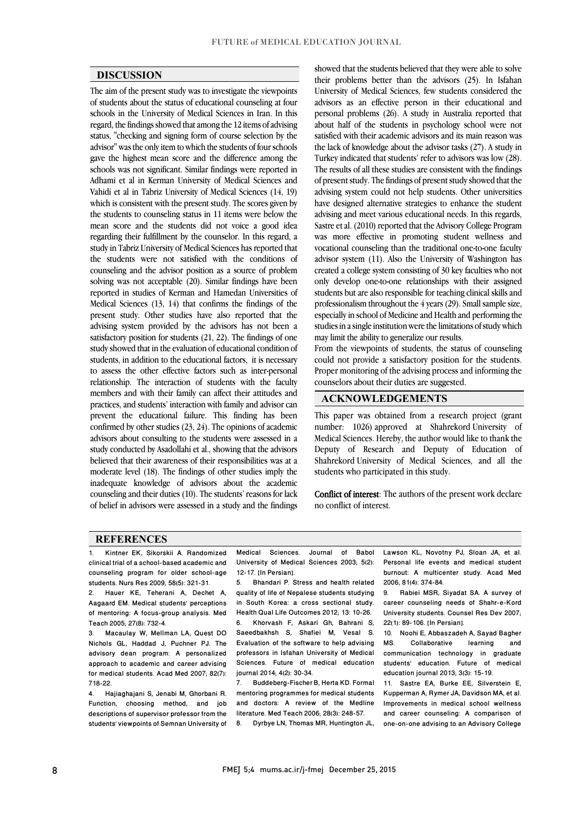$\overline{a}$ 

### **DISCUSSION**

 The aim of the present study was to investigate the viewpoints of students about the status of educational counseling at four schools in the University of Medical Sciences in Iran. In this<br>space of the first issue descriptive consider 12 items of a trivials status, ''checking and signing form of course selection by the advisor'' was the only item to which the students of four schools gave the highest mean score and the difference among the Adhami et al in Kerman University of Medical Sciences and Vahidi et al in Tabriz University of Medical Sciences (14, 19) which is consistent with the present study. The scores given by the students to counseling status in 11 items were below the regarding their fulfillment by the counselor. In this regard, a study in Tabriz University of Medical Sciences has reported that the students were not satisfied with the conditions of counseling and the advisor position as a source of problem reported in studies of Kerman and Hamedan Universities of Medical Sciences (13, 14) that confirms the findings of the present study. Other studies have also reported that the advising system provided by the advisors has not been a study showed that in the evaluation of educational condition of  $\epsilon$  students, in addition to the educational factors, it is necessary to assess the other effective factors such as inter-personal relationship. The interaction of students with the lactify<br>members and with their family can affect their attitudes and practices, and students' interaction with family and advisor can prevent the educational failure. This finding has been confirmed by other studies (23, 24). The opinions of academic advisors about consulting to the students were assessed in a<br>study assoluted by Asadellahi at al. shorting that the advisors believed that their awareness of their responsibilities was at a moderate level (18). The findings of other studies imply the inadequate knowledge of advisors about the academic ת.<br>..  $\overline{\phantom{a}}$ regard, the findings showed that among the 12 items of advising schools was not significant. Similar findings were reported in mean score and the students did not voice a good idea solving was not acceptable (20). Similar findings have been satisfactory position for students (21, 22). The findings of one relationship. The interaction of students with the faculty study conducted by Asadollahi et al., showing that the advisors counseling and their duties (10). The students' reasons for lack of belief in advisors were assessed in a study and the findings

 showed that the students believed that they were able to solve their problems better than the advisors (25). In Isfahan University of Medical Sciences, few students considered the advisors as an effective person in their educational and personal problems (26). A study in Australia reported that satisfied with their academic advisors and its main reason was the lack of knowledge about the advisor tasks (27). A study in Turkey indicated that students' refer to advisors was low (28). of present study. The findings of present study showed that the advising system could not help students. Other universities have designed alternative strategies to enhance the student advising and meet various educational needs. In this regards, was more effective in promoting student wellness and vocational counseling than the traditional one-to-one faculty advisor system (11). Also the University of Washington has created a college system consisting of 30 key faculties who not students but are also responsible for teaching clinical skills and professionalism throughout the 4 years (29). Small sample size, especially in school of Medicine and Health and performing the studies in a single institution were the limitations of study which about half of the students in psychology school were not The results of all these studies are consistent with the findings Sastre et al. (2010) reported that the Advisory College Program only develop one-to-one relationships with their assigned may limit the ability to generalize our results.

From the viewpoints of students, the status of counseling could not provide a satisfactory position for the students. Proper monitoring of the advising process and informing the  $\overline{a}$ counselors about their duties are suggested.

### **ACKNOWLEDGEMENTS**

 This paper was obtained from a research project (grant number: 1026) approved at Shahrekord University of Medical Sciences. Hereby, the author would like to thank the<br>Denutry of Bessenth and Denutry of Education of Shahrekord University of Medical Sciences, and all the Deputy of Research and Deputy of Education of students who participated in this study.

**Conflict of interest**: The authors of the present work declare<br>no conflict of interest no conflict of interest.

#### **REFERENCES**

1. Kintner EK, Sikorskii A. Randomized clinical trial of a school-based academic and counseling program for older school-age students. Nurs Res 2009; 58(5): 321-31.

2. Hauer KE, Teherani A, Dechet A, Aagaard EM. Medical students' perceptions of mentoring: A focus-group analysis. Med Teach 2005; 27(8): 732-4.

3. Macaulay W, Mellman LA, Quest DO Nichols GL, Haddad J, Puchner PJ. The advisory dean program: A personalized approach to academic and career advising for medical students. Acad Med 2007; 82(7): 718-22.

4. Hajiaghajani S, Jenabi M, Ghorbani R. Function, choosing method, and job descriptions of supervisor professor from the students' viewpoints of Semnan University of

Medical Sciences. Journal of Babol<br>University of Medical Sciences 2003; 5(2): 12-17. [In Persian]. Medical Sciences. Journal of Babol

 $\overline{\phantom{a}}$ 

L 

 5. Bhandari P. Stress and health related in South Korea: a cross sectional study. Health Qual Life Outcomes 2012; 13: 10-26. b. Khorvash F, Askari Gh, Bahrahi S,<br>Saeedbakhsh S, Shafiei M, Vesal S. Evaluation of the software to help advising professors in Isfahan University of Medical journal 2014; 4(2): 30-34. quality of life of Nepalese students studying 6. Khorvash F, Askari Gh, Bahrani S, Sciences. Future of medical education

 7. Buddeberg-Fischer B, Herta KD. Formal mentoring programmes for medical students<br>and doctors: A review of the Medline literature. Med Teach 2006; 28(3): 248-57. mentoring programmes for medical students

8. Dyrbye LN, Thomas MR, Huntington JL,

Lawson KL, Novotny PJ, Sloan JA, et al. burnout: A multicenter study. Acad Med Personal life events and medical student 2006; 81(4): 374-84.

 $\overline{a}$ 

l  $\overline{a}$ 

 career counseling needs of Shahr-e-Kord University students. Counsel Res Dev 2007; 9. Rabiei MSR, Siyadat SA. A survey of 22(1): 89-106. [In Persian].

22(1): 89-106. [In Persian].<br>10. Noohi E, Abbaszadeh A, Sayad Bagher and communication technology in graduate students' education. Future of medical<br>education.iournal.2013-3(3)-15-19 MS. Collaborative learning education journal 2013; 3(3): 15-19.

 11. Sastre EA, Burke EE, Silverstein E, Kupperman A, Hymer JA, Davidson MA, et al.<br>Improvements in medical school wellness and career counseling: A comparison of one-on-one advising to an Advisory College Kupperman A, Rymer JA, Davidson MA, et al.